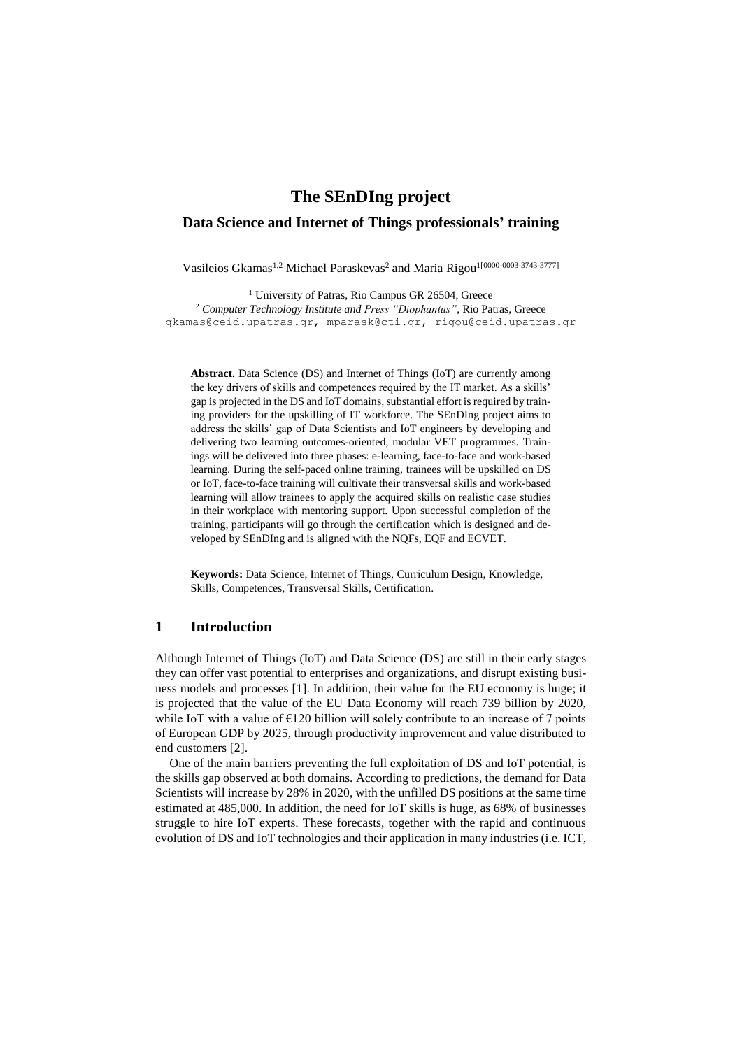# **The SEnDIng project**

## **Data Science and Internet of Things professionals' training**

Vasileios Gkamas<sup>1,2</sup> Michael Paraskevas<sup>2</sup> and Maria Rigou<sup>1[0000-0003-3743-3777]</sup>

<sup>1</sup> University of Patras, Rio Campus GR 26504, Greece <sup>2</sup> *Computer Technology Institute and Press "Diophantus"*, Rio Patras, Greece [gkamas@ceid.upatras.gr,](mailto:gkamas@ceid.upatras.gr) mparask@cti.gr, rigou@ceid.upatras.gr

**Abstract.** Data Science (DS) and Internet of Things (IoT) are currently among the key drivers of skills and competences required by the IT market. As a skills' gap is projected in the DS and IoT domains, substantial effort is required by training providers for the upskilling of IT workforce. The SEnDIng project aims to address the skills' gap of Data Scientists and IoT engineers by developing and delivering two learning outcomes-oriented, modular VET programmes. Trainings will be delivered into three phases: e-learning, face-to-face and work-based learning. During the self-paced online training, trainees will be upskilled on DS or IoT, face-to-face training will cultivate their transversal skills and work-based learning will allow trainees to apply the acquired skills on realistic case studies in their workplace with mentoring support. Upon successful completion of the training, participants will go through the certification which is designed and developed by SEnDIng and is aligned with the NQFs, EQF and ECVET.

**Keywords:** Data Science, Internet of Things, Curriculum Design, Knowledge, Skills, Competences, Transversal Skills, Certification.

### **1 Introduction**

Although Internet of Things (IoT) and Data Science (DS) are still in their early stages they can offer vast potential to enterprises and organizations, and disrupt existing business models and processes [\[1\]](#page-4-0). In addition, their value for the EU economy is huge; it is projected that the value of the EU Data Economy will reach 739 billion by 2020, while IoT with a value of  $E120$  billion will solely contribute to an increase of 7 points of European GDP by 2025, through productivity improvement and value distributed to end customers [\[2\]](#page-4-1).

One of the main barriers preventing the full exploitation of DS and IoT potential, is the skills gap observed at both domains. According to predictions, the demand for Data Scientists will increase by 28% in 2020, with the unfilled DS positions at the same time estimated at 485,000. In addition, the need for IoT skills is huge, as 68% of businesses struggle to hire IoT experts. These forecasts, together with the rapid and continuous evolution of DS and IoT technologies and their application in many industries (i.e. ICT,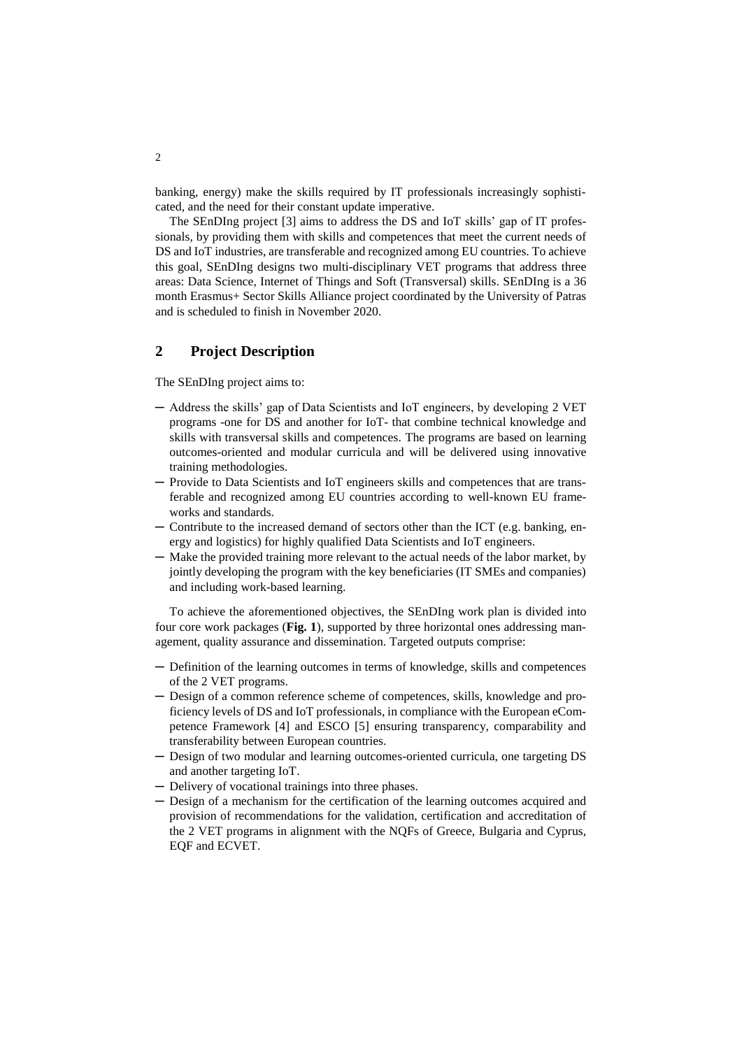banking, energy) make the skills required by IT professionals increasingly sophisticated, and the need for their constant update imperative.

The SEnDIng project [\[3\]](#page-4-2) aims to address the DS and IoT skills' gap of IT professionals, by providing them with skills and competences that meet the current needs of DS and IoT industries, are transferable and recognized among EU countries. To achieve this goal, SEnDIng designs two multi-disciplinary VET programs that address three areas: Data Science, Internet of Things and Soft (Transversal) skills. SEnDIng is a 36 month Erasmus+ Sector Skills Alliance project coordinated by the University of Patras and is scheduled to finish in November 2020.

# **2 Project Description**

The SEnDIng project aims to:

- ─ Address the skills' gap of Data Scientists and IoT engineers, by developing 2 VET programs -one for DS and another for IoT- that combine technical knowledge and skills with transversal skills and competences. The programs are based on learning outcomes-oriented and modular curricula and will be delivered using innovative training methodologies.
- ─ Provide to Data Scientists and IoT engineers skills and competences that are transferable and recognized among EU countries according to well-known EU frameworks and standards.
- ─ Contribute to the increased demand of sectors other than the ICT (e.g. banking, energy and logistics) for highly qualified Data Scientists and IoT engineers.
- ─ Make the provided training more relevant to the actual needs of the labor market, by jointly developing the program with the key beneficiaries (IT SMEs and companies) and including work-based learning.

To achieve the aforementioned objectives, the SEnDIng work plan is divided into four core work packages (**[Fig. 1](#page-2-0)**), supported by three horizontal ones addressing management, quality assurance and dissemination. Targeted outputs comprise:

- ─ Definition of the learning outcomes in terms of knowledge, skills and competences of the 2 VET programs.
- ─ Design of a common reference scheme of competences, skills, knowledge and proficiency levels of DS and IoT professionals, in compliance with the European eCompetence Framework [\[4\]](#page-4-3) and ESCO [5] ensuring transparency, comparability and transferability between European countries.
- ─ Design of two modular and learning outcomes-oriented curricula, one targeting DS and another targeting IoT.
- ─ Delivery of vocational trainings into three phases.
- ─ Design of a mechanism for the certification of the learning outcomes acquired and provision of recommendations for the validation, certification and accreditation of the 2 VET programs in alignment with the NQFs of Greece, Bulgaria and Cyprus, EQF and ECVET.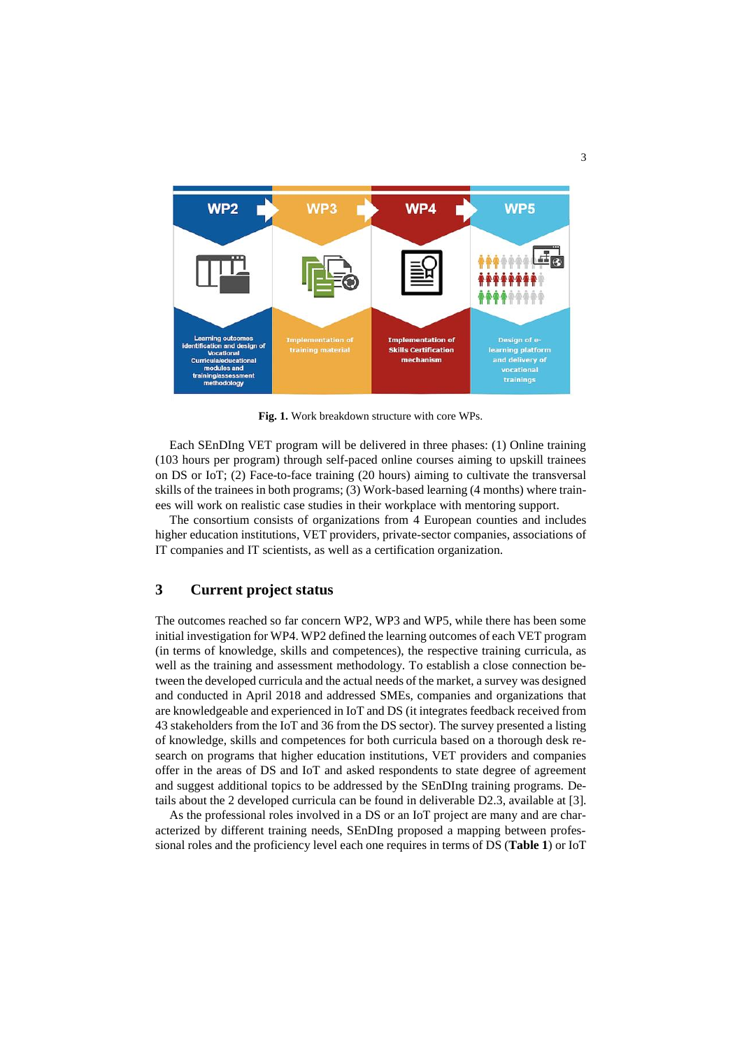

**Fig. 1.** Work breakdown structure with core WPs.

<span id="page-2-0"></span>Each SEnDIng VET program will be delivered in three phases: (1) Online training (103 hours per program) through self-paced online courses aiming to upskill trainees on DS or IoT; (2) Face-to-face training (20 hours) aiming to cultivate the transversal skills of the trainees in both programs; (3) Work-based learning (4 months) where trainees will work on realistic case studies in their workplace with mentoring support.

The consortium consists of organizations from 4 European counties and includes higher education institutions, VET providers, private-sector companies, associations of IT companies and IT scientists, as well as a certification organization.

## **3 Current project status**

The outcomes reached so far concern WP2, WP3 and WP5, while there has been some initial investigation for WP4. WP2 defined the learning outcomes of each VET program (in terms of knowledge, skills and competences), the respective training curricula, as well as the training and assessment methodology. To establish a close connection between the developed curricula and the actual needs of the market, a survey was designed and conducted in April 2018 and addressed SMEs, companies and organizations that are knowledgeable and experienced in IoT and DS (it integrates feedback received from 43 stakeholders from the IoT and 36 from the DS sector). The survey presented a listing of knowledge, skills and competences for both curricula based on a thorough desk research on programs that higher education institutions, VET providers and companies offer in the areas of DS and IoT and asked respondents to state degree of agreement and suggest additional topics to be addressed by the SEnDIng training programs. Details about the 2 developed curricula can be found in deliverable D2.3, available at [\[3\]](#page-4-2).

As the professional roles involved in a DS or an IoT project are many and are characterized by different training needs, SEnDIng proposed a mapping between professional roles and the proficiency level each one requires in terms of DS (**[Table 1](#page-3-0)**) or IoT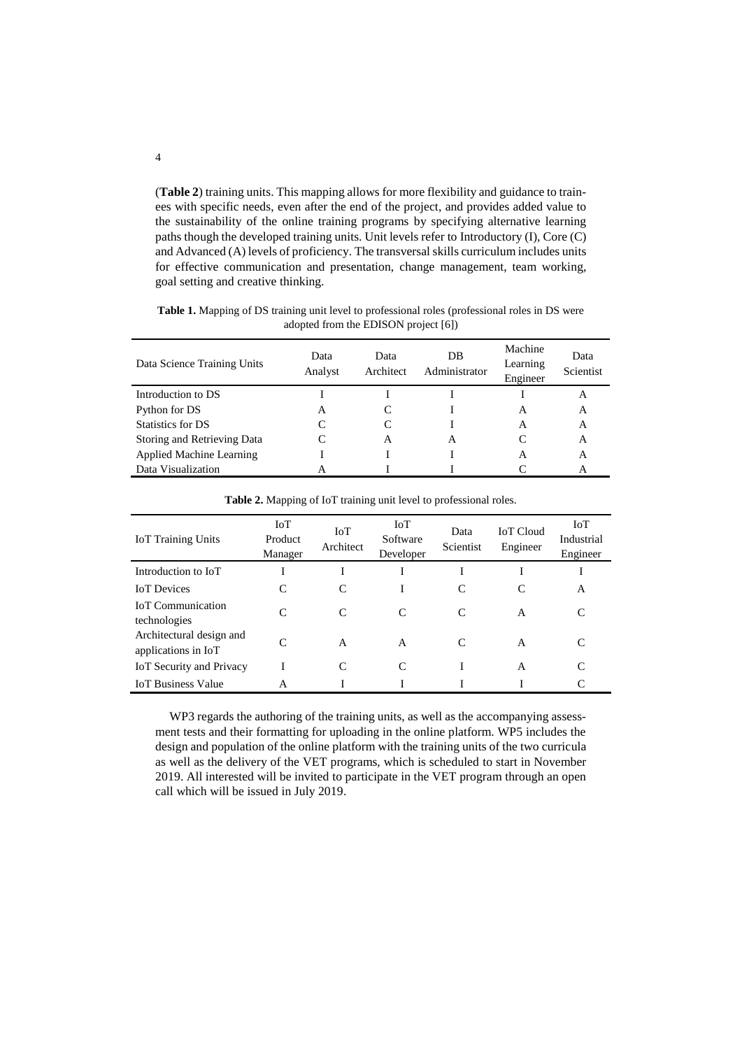(**[Table 2](#page-3-1)**) training units. This mapping allows for more flexibility and guidance to trainees with specific needs, even after the end of the project, and provides added value to the sustainability of the online training programs by specifying alternative learning paths though the developed training units. Unit levels refer to Introductory (I), Core (C) and Advanced (A) levels of proficiency. The transversal skills curriculum includes units for effective communication and presentation, change management, team working, goal setting and creative thinking.

| Data Science Training Units     | Data<br>Analyst | Data<br>Architect | DB<br>Administrator | Machine<br>Learning<br>Engineer | Data<br>Scientist |
|---------------------------------|-----------------|-------------------|---------------------|---------------------------------|-------------------|
| Introduction to DS              |                 |                   |                     |                                 | A                 |
| Python for DS                   | А               |                   |                     | A                               | A                 |
| Statistics for DS               |                 |                   |                     | A                               | A                 |
| Storing and Retrieving Data     |                 | A                 | A                   |                                 | A                 |
| <b>Applied Machine Learning</b> |                 |                   |                     | A                               | A                 |
| Data Visualization              |                 |                   |                     |                                 | A                 |

<span id="page-3-0"></span>**Table 1.** Mapping of DS training unit level to professional roles (professional roles in DS were adopted from the EDISON project [\[6\]](#page-4-4))

<span id="page-3-1"></span>

| <b>IoT</b> Training Units                       | <b>IoT</b><br>Product<br>Manager | IoT<br>Architect | $I\mathrm{o}T$<br>Software<br>Developer | Data<br>Scientist | <b>IoT</b> Cloud<br>Engineer | <b>IoT</b><br>Industrial<br>Engineer |
|-------------------------------------------------|----------------------------------|------------------|-----------------------------------------|-------------------|------------------------------|--------------------------------------|
| Introduction to IoT                             |                                  |                  |                                         |                   |                              |                                      |
| <b>IoT</b> Devices                              |                                  |                  |                                         |                   | C                            | А                                    |
| <b>IoT</b> Communication<br>technologies        | $\subset$                        | C                | C                                       | C                 | A                            | C                                    |
| Architectural design and<br>applications in IoT | $\subset$                        | A                | A                                       | C                 | A                            |                                      |
| IoT Security and Privacy                        |                                  | C                | C                                       |                   | A                            | C                                    |
| <b>IoT Business Value</b>                       | A                                |                  |                                         |                   |                              | C                                    |

**Table 2.** Mapping of IoT training unit level to professional roles.

WP3 regards the authoring of the training units, as well as the accompanying assessment tests and their formatting for uploading in the online platform. WP5 includes the design and population of the online platform with the training units of the two curricula as well as the delivery of the VET programs, which is scheduled to start in November 2019. All interested will be invited to participate in the VET program through an open call which will be issued in July 2019.